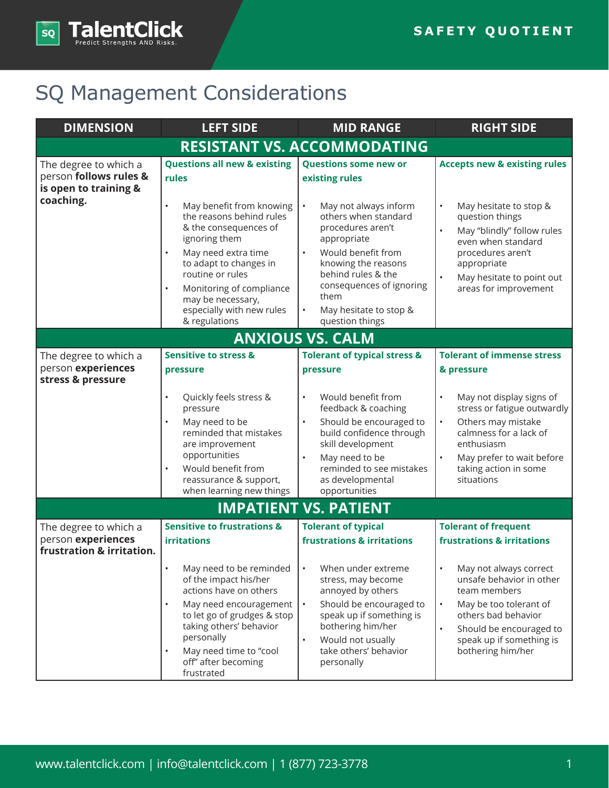

## SQ Management Considerations

| <b>DIMENSION</b>                                                                      | <b>LEFT SIDE</b>                                                                                                                                                                                                                                                                                          | <b>MID RANGE</b>                                                                                                                                                                                                                                                | <b>RIGHT SIDE</b>                                                                                                                                                                                                                      |  |  |
|---------------------------------------------------------------------------------------|-----------------------------------------------------------------------------------------------------------------------------------------------------------------------------------------------------------------------------------------------------------------------------------------------------------|-----------------------------------------------------------------------------------------------------------------------------------------------------------------------------------------------------------------------------------------------------------------|----------------------------------------------------------------------------------------------------------------------------------------------------------------------------------------------------------------------------------------|--|--|
| <b>RESISTANT VS. ACCOMMODATING</b>                                                    |                                                                                                                                                                                                                                                                                                           |                                                                                                                                                                                                                                                                 |                                                                                                                                                                                                                                        |  |  |
| The degree to which a<br>person follows rules &<br>is open to training &<br>coaching. | <b>Questions all new &amp; existing</b><br>rules                                                                                                                                                                                                                                                          | <b>Questions some new or</b><br>existing rules                                                                                                                                                                                                                  | <b>Accepts new &amp; existing rules</b>                                                                                                                                                                                                |  |  |
|                                                                                       | $\bullet$<br>May benefit from knowing<br>the reasons behind rules<br>& the consequences of<br>ignoring them<br>May need extra time<br>$\bullet$<br>to adapt to changes in<br>routine or rules<br>Monitoring of compliance<br>$\bullet$<br>may be necessary,<br>especially with new rules<br>& regulations | May not always inform<br>others when standard<br>procedures aren't<br>appropriate<br>Would benefit from<br>$\bullet$<br>knowing the reasons<br>behind rules & the<br>consequences of ignoring<br>them<br>May hesitate to stop &<br>$\bullet$<br>question things | $\bullet$<br>May hesitate to stop &<br>question things<br>$\bullet$<br>May "blindly" follow rules<br>even when standard<br>procedures aren't<br>appropriate<br>$\bullet$<br>May hesitate to point out<br>areas for improvement         |  |  |
|                                                                                       |                                                                                                                                                                                                                                                                                                           | <b>ANXIOUS VS. CALM</b>                                                                                                                                                                                                                                         |                                                                                                                                                                                                                                        |  |  |
| The degree to which a<br>person experiences<br>stress & pressure                      | <b>Sensitive to stress &amp;</b><br>pressure                                                                                                                                                                                                                                                              | <b>Tolerant of typical stress &amp;</b><br>pressure                                                                                                                                                                                                             | <b>Tolerant of immense stress</b><br>& pressure                                                                                                                                                                                        |  |  |
|                                                                                       | Quickly feels stress &<br>$\bullet$<br>pressure<br>May need to be<br>reminded that mistakes<br>are improvement<br>opportunities<br>Would benefit from<br>$\bullet$<br>reassurance & support,<br>when learning new things                                                                                  | Would benefit from<br>$\bullet$<br>feedback & coaching<br>Should be encouraged to<br>build confidence through<br>skill development<br>May need to be<br>reminded to see mistakes<br>as developmental<br>opportunities                                           | May not display signs of<br>$\bullet$<br>stress or fatigue outwardly<br>Others may mistake<br>$\bullet$<br>calmness for a lack of<br>enthusiasm<br>May prefer to wait before<br>taking action in some<br>situations                    |  |  |
| <b>IMPATIENT VS. PATIENT</b>                                                          |                                                                                                                                                                                                                                                                                                           |                                                                                                                                                                                                                                                                 |                                                                                                                                                                                                                                        |  |  |
| The degree to which a<br>person experiences<br>frustration & irritation.              | <b>Sensitive to frustrations &amp;</b><br><b>irritations</b>                                                                                                                                                                                                                                              | <b>Tolerant of typical</b><br>frustrations & irritations                                                                                                                                                                                                        | <b>Tolerant of frequent</b><br><b>frustrations &amp; irritations</b>                                                                                                                                                                   |  |  |
|                                                                                       | May need to be reminded<br>$\bullet$<br>of the impact his/her<br>actions have on others<br>May need encouragement<br>$\bullet$<br>to let go of grudges & stop<br>taking others' behavior<br>personally<br>May need time to "cool<br>$\bullet$<br>off" after becoming<br>frustrated                        | When under extreme<br>$\bullet$<br>stress, may become<br>annoyed by others<br>Should be encouraged to<br>$\bullet$<br>speak up if something is<br>bothering him/her<br>Would not usually<br>$\bullet$<br>take others' behavior<br>personally                    | May not always correct<br>$\bullet$<br>unsafe behavior in other<br>team members<br>May be too tolerant of<br>$\bullet$<br>others bad behavior<br>Should be encouraged to<br>$\bullet$<br>speak up if something is<br>bothering him/her |  |  |